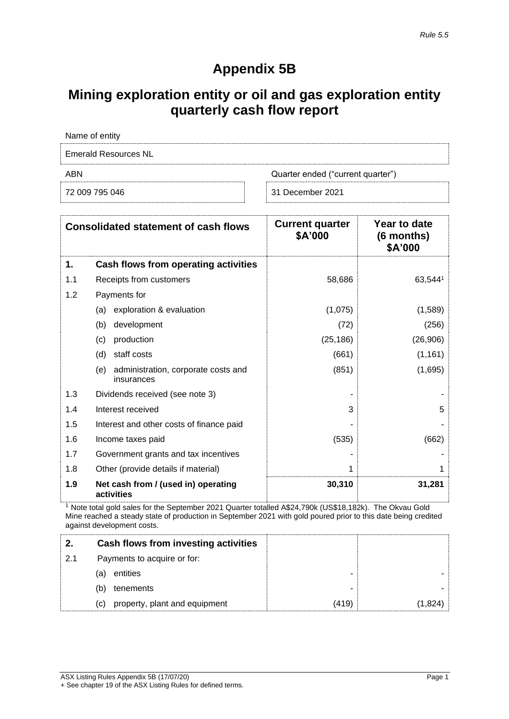## **Appendix 5B**

## **Mining exploration entity or oil and gas exploration entity quarterly cash flow report**

| Name of entity                           |                  |
|------------------------------------------|------------------|
| Emerald Resources NL                     |                  |
| Quarter ended ("current quarter")<br>ABN |                  |
| 72 009 795 046                           | 31 December 2021 |

|     | <b>Consolidated statement of cash flows</b>              | <b>Current quarter</b><br>\$A'000 | Year to date<br>$(6$ months)<br>\$A'000 |
|-----|----------------------------------------------------------|-----------------------------------|-----------------------------------------|
| 1.  | Cash flows from operating activities                     |                                   |                                         |
| 1.1 | Receipts from customers                                  | 58,686                            | 63,5441                                 |
| 1.2 | Payments for                                             |                                   |                                         |
|     | exploration & evaluation<br>(a)                          | (1,075)                           | (1,589)                                 |
|     | development<br>(b)                                       | (72)                              | (256)                                   |
|     | production<br>(c)                                        | (25, 186)                         | (26, 906)                               |
|     | staff costs<br>(d)                                       | (661)                             | (1, 161)                                |
|     | administration, corporate costs and<br>(e)<br>insurances | (851)                             | (1,695)                                 |
| 1.3 | Dividends received (see note 3)                          |                                   |                                         |
| 1.4 | Interest received                                        | 3                                 | 5                                       |
| 1.5 | Interest and other costs of finance paid                 |                                   |                                         |
| 1.6 | Income taxes paid                                        | (535)                             | (662)                                   |
| 1.7 | Government grants and tax incentives                     |                                   |                                         |
| 1.8 | Other (provide details if material)                      | 1                                 |                                         |
| 1.9 | Net cash from / (used in) operating<br>activities        | 30,310                            | 31,281                                  |

<sup>1</sup> Note total gold sales for the September 2021 Quarter totalled A\$24,790k (US\$18,182k). The Okvau Gold Mine reached a steady state of production in September 2021 with gold poured prior to this date being credited against development costs.

|     | Cash flows from investing activities |       |  |
|-----|--------------------------------------|-------|--|
| 2.1 | Payments to acquire or for:          |       |  |
|     | entities<br>(a)                      |       |  |
|     | (b)<br>tenements                     | -     |  |
|     | property, plant and equipment<br>(c) | (419) |  |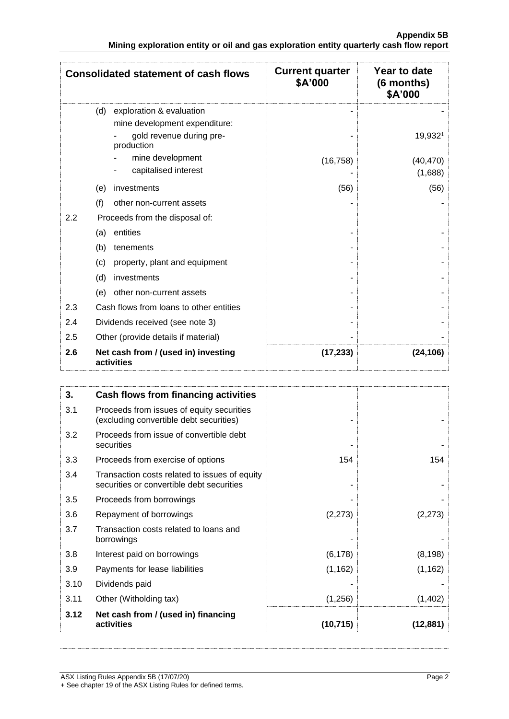|                                                                                        |  | <b>Appendix 5B</b> |
|----------------------------------------------------------------------------------------|--|--------------------|
| Mining exploration entity or oil and gas exploration entity quarterly cash flow report |  |                    |

|     | <b>Consolidated statement of cash flows</b>                                                                | <b>Current quarter</b><br>\$A'000 | Year to date<br>(6 months)<br>\$A'000 |
|-----|------------------------------------------------------------------------------------------------------------|-----------------------------------|---------------------------------------|
|     | exploration & evaluation<br>(d)<br>mine development expenditure:<br>gold revenue during pre-<br>production |                                   | 19,9321                               |
|     | mine development<br>capitalised interest                                                                   | (16, 758)                         | (40, 470)<br>(1,688)                  |
|     | investments<br>(e)                                                                                         | (56)                              | (56)                                  |
| (f) | other non-current assets                                                                                   |                                   |                                       |
| 2.2 | Proceeds from the disposal of:                                                                             |                                   |                                       |
|     | entities<br>(a)                                                                                            |                                   |                                       |
|     | (b)<br>tenements                                                                                           |                                   |                                       |
| (c) | property, plant and equipment                                                                              |                                   |                                       |
|     | (d)<br>investments                                                                                         |                                   |                                       |
|     | other non-current assets<br>(e)                                                                            |                                   |                                       |
| 2.3 | Cash flows from loans to other entities                                                                    |                                   |                                       |
| 2.4 | Dividends received (see note 3)                                                                            |                                   |                                       |
| 2.5 | Other (provide details if material)                                                                        |                                   |                                       |
| 2.6 | Net cash from / (used in) investing<br>activities                                                          | (17, 233)                         | (24, 106)                             |

| 3.   | Cash flows from financing activities                                                       |          |          |
|------|--------------------------------------------------------------------------------------------|----------|----------|
| 3.1  | Proceeds from issues of equity securities<br>(excluding convertible debt securities)       |          |          |
| 3.2  | Proceeds from issue of convertible debt<br>securities                                      |          |          |
| 3.3  | Proceeds from exercise of options                                                          | 154      | 154      |
| 3.4  | Transaction costs related to issues of equity<br>securities or convertible debt securities |          |          |
| 3.5  | Proceeds from borrowings                                                                   |          |          |
| 3.6  | Repayment of borrowings                                                                    | (2, 273) | (2, 273) |
| 3.7  | Transaction costs related to loans and<br>borrowings                                       |          |          |
| 3.8  | Interest paid on borrowings                                                                | (6, 178) | (8, 198) |
| 3.9  | Payments for lease liabilities                                                             | (1, 162) | (1, 162) |
| 3.10 | Dividends paid                                                                             |          |          |
| 3.11 | Other (Witholding tax)                                                                     | (1,256)  | (1,402)  |
| 3.12 | Net cash from / (used in) financing<br>activities                                          | (10,715) | (12,881) |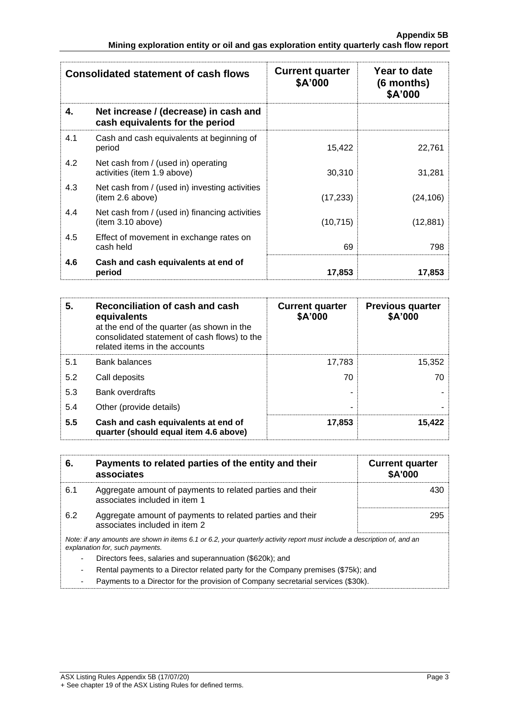|     | <b>Consolidated statement of cash flows</b>                              | <b>Current quarter</b><br>\$A'000 | Year to date<br>$(6$ months)<br>\$A'000 |
|-----|--------------------------------------------------------------------------|-----------------------------------|-----------------------------------------|
| 4.  | Net increase / (decrease) in cash and<br>cash equivalents for the period |                                   |                                         |
| 4.1 | Cash and cash equivalents at beginning of<br>period                      | 15,422                            | 22,761                                  |
| 4.2 | Net cash from / (used in) operating<br>activities (item 1.9 above)       | 30,310                            | 31,281                                  |
| 4.3 | Net cash from / (used in) investing activities<br>(item 2.6 above)       | (17, 233)                         | (24, 106)                               |
| 4.4 | Net cash from / (used in) financing activities<br>(item 3.10 above)      | (10, 715)                         | (12, 881)                               |
| 4.5 | Effect of movement in exchange rates on<br>cash held                     | 69                                | 798                                     |
| 4.6 | Cash and cash equivalents at end of<br>period                            | 17,853                            | 17,853                                  |

| 5.  | Reconciliation of cash and cash<br>equivalents<br>at the end of the quarter (as shown in the<br>consolidated statement of cash flows) to the<br>related items in the accounts | <b>Current quarter</b><br>\$A'000 | <b>Previous quarter</b><br>\$A'000 |
|-----|-------------------------------------------------------------------------------------------------------------------------------------------------------------------------------|-----------------------------------|------------------------------------|
| 5.1 | <b>Bank balances</b>                                                                                                                                                          | 17,783                            | 15,352                             |
| 5.2 | Call deposits                                                                                                                                                                 | 70                                | 70                                 |
| 5.3 | <b>Bank overdrafts</b>                                                                                                                                                        |                                   |                                    |
| 5.4 | Other (provide details)                                                                                                                                                       | ۰                                 |                                    |
| 5.5 | Cash and cash equivalents at end of<br>quarter (should equal item 4.6 above)                                                                                                  | 17,853                            | 15,422                             |

| 6.  | Payments to related parties of the entity and their<br>associates                                                                                           | <b>Current quarter</b><br><b>\$A'000</b> |
|-----|-------------------------------------------------------------------------------------------------------------------------------------------------------------|------------------------------------------|
| 6.1 | Aggregate amount of payments to related parties and their<br>associates included in item 1                                                                  | 430                                      |
| 6.2 | Aggregate amount of payments to related parties and their<br>associates included in item 2                                                                  | 295                                      |
|     | Note: if any amounts are shown in items 6.1 or 6.2, your quarterly activity report must include a description of, and an<br>explanation for, such payments. |                                          |
|     | Directors fees, salaries and superannuation (\$620k); and<br>Rental payments to a Director related party for the Company premises (\$75k); and              |                                          |

- Payments to a Director for the provision of Company secretarial services (\$30k).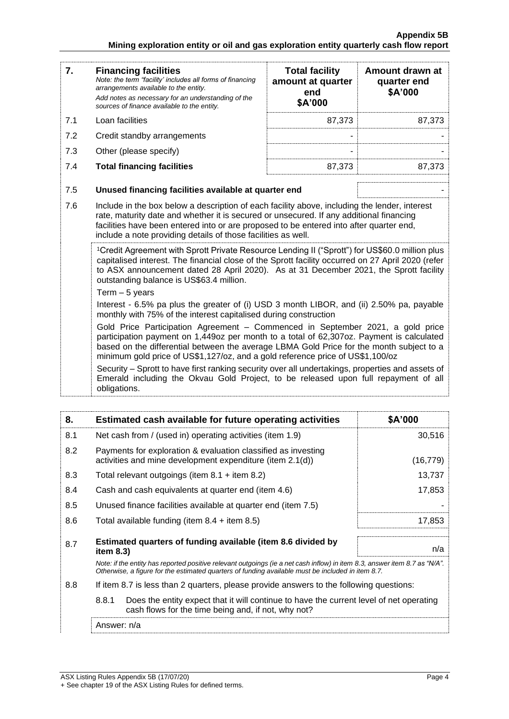| 7.  | <b>Financing facilities</b><br>Note: the term "facility' includes all forms of financing<br>arrangements available to the entity.<br>Add notes as necessary for an understanding of the<br>sources of finance available to the entity.                                                                                                                                  | <b>Total facility</b><br>amount at quarter<br>end<br>\$A'000 | Amount drawn at<br>quarter end<br>\$A'000 |
|-----|-------------------------------------------------------------------------------------------------------------------------------------------------------------------------------------------------------------------------------------------------------------------------------------------------------------------------------------------------------------------------|--------------------------------------------------------------|-------------------------------------------|
| 7.1 | Loan facilities                                                                                                                                                                                                                                                                                                                                                         | 87,373                                                       | 87,373                                    |
| 7.2 | Credit standby arrangements                                                                                                                                                                                                                                                                                                                                             |                                                              |                                           |
| 7.3 | Other (please specify)                                                                                                                                                                                                                                                                                                                                                  |                                                              |                                           |
| 7.4 | <b>Total financing facilities</b>                                                                                                                                                                                                                                                                                                                                       | 87,373                                                       | 87,373                                    |
| 7.5 | Unused financing facilities available at quarter end                                                                                                                                                                                                                                                                                                                    |                                                              |                                           |
| 7.6 | Include in the box below a description of each facility above, including the lender, interest<br>rate, maturity date and whether it is secured or unsecured. If any additional financing<br>facilities have been entered into or are proposed to be entered into after quarter end,<br>include a note providing details of those facilities as well.                    |                                                              |                                           |
|     | <sup>1</sup> Credit Agreement with Sprott Private Resource Lending II ("Sprott") for US\$60.0 million plus<br>capitalised interest. The financial close of the Sprott facility occurred on 27 April 2020 (refer<br>to ASX announcement dated 28 April 2020). As at 31 December 2021, the Sprott facility<br>outstanding balance is US\$63.4 million.<br>Term $-5$ years |                                                              |                                           |
|     | Interest - 6.5% pa plus the greater of (i) USD 3 month LIBOR, and (ii) 2.50% pa, payable<br>monthly with 75% of the interest capitalised during construction                                                                                                                                                                                                            |                                                              |                                           |
|     | Gold Price Participation Agreement - Commenced in September 2021, a gold price<br>participation payment on 1,449oz per month to a total of 62,307oz. Payment is calculated<br>based on the differential between the average LBMA Gold Price for the month subject to a<br>minimum gold price of US\$1,127/oz, and a gold reference price of US\$1,100/oz                |                                                              |                                           |
|     | Security – Sprott to have first ranking security over all undertakings, properties and assets of<br>Emerald including the Okvau Gold Project, to be released upon full repayment of all<br>obligations.                                                                                                                                                                 |                                                              |                                           |

| 8.  | Estimated cash available for future operating activities                                                                                                                                                                        | \$A'000   |
|-----|---------------------------------------------------------------------------------------------------------------------------------------------------------------------------------------------------------------------------------|-----------|
| 8.1 | Net cash from / (used in) operating activities (item 1.9)                                                                                                                                                                       | 30,516    |
| 8.2 | Payments for exploration & evaluation classified as investing<br>activities and mine development expenditure (item 2.1(d))                                                                                                      | (16, 779) |
| 8.3 | Total relevant outgoings (item $8.1$ + item $8.2$ )                                                                                                                                                                             | 13,737    |
| 8.4 | Cash and cash equivalents at quarter end (item 4.6)                                                                                                                                                                             | 17,853    |
| 8.5 | Unused finance facilities available at quarter end (item 7.5)                                                                                                                                                                   |           |
| 8.6 | Total available funding (item $8.4 +$ item $8.5$ )                                                                                                                                                                              | 17,853    |
| 8.7 | Estimated quarters of funding available (item 8.6 divided by<br>item $8.3$ )                                                                                                                                                    | n/a       |
|     | Note: if the entity has reported positive relevant outgoings (ie a net cash inflow) in item 8.3, answer item 8.7 as "N/A".<br>Otherwise, a figure for the estimated quarters of funding available must be included in item 8.7. |           |
| 8.8 | If item 8.7 is less than 2 quarters, please provide answers to the following questions:                                                                                                                                         |           |
|     | 8.8.1<br>Does the entity expect that it will continue to have the current level of net operating<br>cash flows for the time being and, if not, why not?                                                                         |           |
|     | Answer: n/a                                                                                                                                                                                                                     |           |